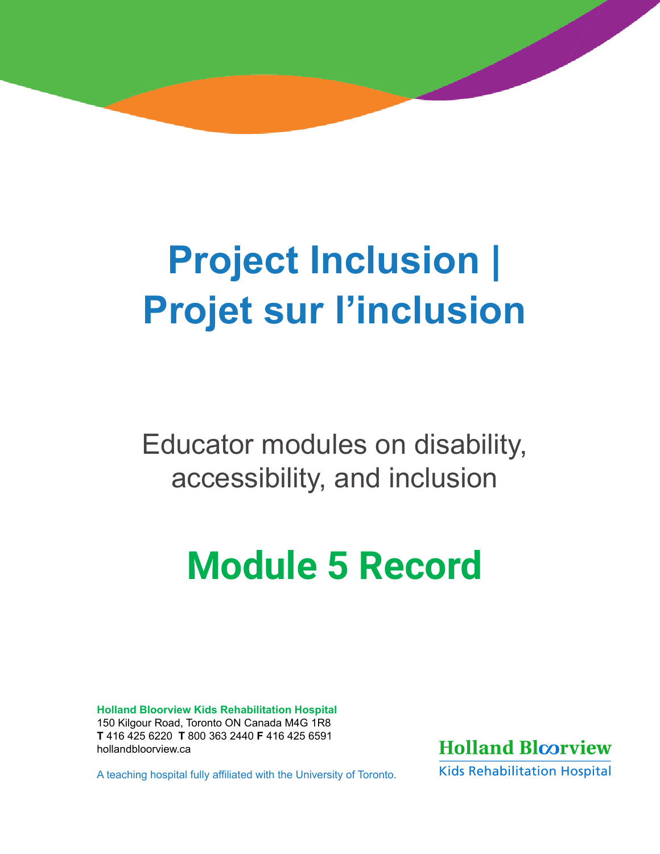# **Project Inclusion | Projet sur l'inclusion**

Educator modules on disability, accessibility, and inclusion

# **Module 5 Record**

**Holland Bloorview Kids Rehabilitation Hospital**  150 Kilgour Road, Toronto ON Canada M4G 1R8 **T** 416 425 6220 **T** 800 363 2440 **F** 416 425 6591 [hollandbloorview.ca](http://hollandbloorview.ca)

A teaching hospital fully affiliated with the University of Toronto.



**Kids Rehabilitation Hospital**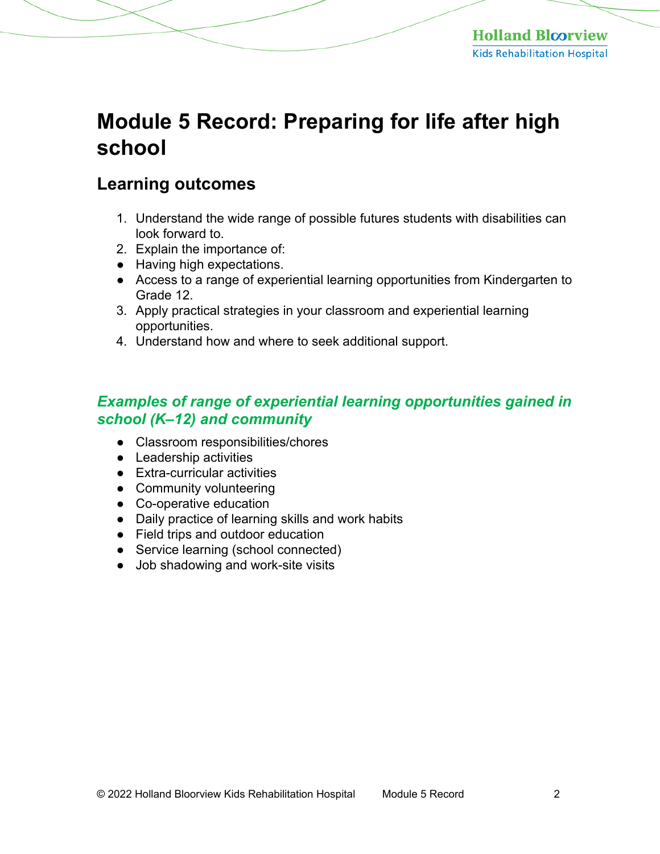# **Module 5 Record: Preparing for life after high school**

# **Learning outcomes**

- 1. Understand the wide range of possible futures students with disabilities can look forward to.
- 2. Explain the importance of:
- Having high expectations.
- Access to a range of experiential learning opportunities from Kindergarten to Grade 12.
- 3. Apply practical strategies in your classroom and experiential learning opportunities.
- 4. Understand how and where to seek additional support.

## *Examples of range of experiential learning opportunities gained in school (K–12) and community*

- Classroom responsibilities/chores
- Leadership activities
- Extra-curricular activities
- Community volunteering
- Co-operative education
- Daily practice of learning skills and work habits
- Field trips and outdoor education
- Service learning (school connected)
- Job shadowing and work-site visits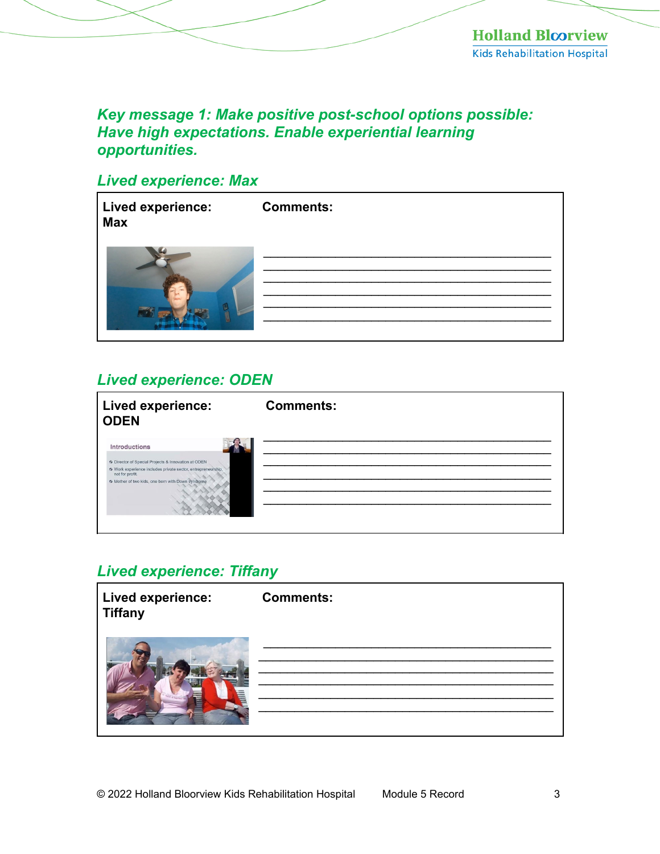## Key message 1: Make positive post-school options possible: Have high expectations. Enable experiential learning opportunities.

## **Lived experience: Max**

| Lived experience:<br><b>Max</b> | <b>Comments:</b> |
|---------------------------------|------------------|
|                                 |                  |

## **Lived experience: ODEN**

| Lived experience:<br><b>ODEN</b>                                                                                                                                                                                    | <b>Comments:</b> |
|---------------------------------------------------------------------------------------------------------------------------------------------------------------------------------------------------------------------|------------------|
| <b>Introductions</b><br>6 Director of Special Projects & Innovation at ODEN<br>% Work experience includes private sector, entrepreneurship,<br>not for profit.<br>6 Mother of two kids, one born with Down syndrome |                  |

## **Lived experience: Tiffany**

| <b>Lived experience:</b><br><b>Tiffany</b> | <b>Comments:</b> |
|--------------------------------------------|------------------|
|                                            |                  |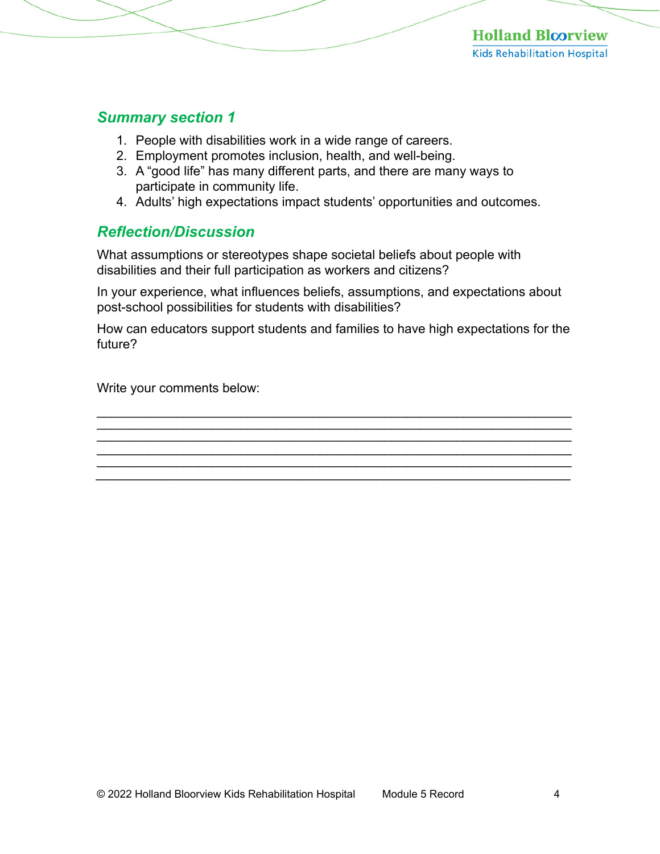#### *Summary section 1*

- 1. People with disabilities work in a wide range of careers.
- 2. Employment promotes inclusion, health, and well-being.
- 3. A "good life" has many different parts, and there are many ways to participate in community life.
- 4. Adults' high expectations impact students' opportunities and outcomes.

## *Reflection/Discussion*

What assumptions or stereotypes shape societal beliefs about people with disabilities and their full participation as workers and citizens?

In your experience, what influences beliefs, assumptions, and expectations about post-school possibilities for students with disabilities?

How can educators support students and families to have high expectations for the future?

\_\_\_\_\_\_\_\_\_\_\_\_\_\_\_\_\_\_\_\_\_\_\_\_\_\_\_\_\_\_\_\_\_\_\_\_\_\_\_\_\_\_\_\_\_\_\_\_\_\_\_\_\_\_\_\_\_\_\_\_\_\_\_\_\_\_ \_\_\_\_\_\_\_\_\_\_\_\_\_\_\_\_\_\_\_\_\_\_\_\_\_\_\_\_\_\_\_\_\_\_\_\_\_\_\_\_\_\_\_\_\_\_\_\_\_\_\_\_\_\_\_\_\_\_\_\_\_\_\_\_\_\_  $\mathcal{L}_\mathcal{L} = \mathcal{L}_\mathcal{L} = \mathcal{L}_\mathcal{L} = \mathcal{L}_\mathcal{L} = \mathcal{L}_\mathcal{L} = \mathcal{L}_\mathcal{L} = \mathcal{L}_\mathcal{L} = \mathcal{L}_\mathcal{L} = \mathcal{L}_\mathcal{L} = \mathcal{L}_\mathcal{L} = \mathcal{L}_\mathcal{L} = \mathcal{L}_\mathcal{L} = \mathcal{L}_\mathcal{L} = \mathcal{L}_\mathcal{L} = \mathcal{L}_\mathcal{L} = \mathcal{L}_\mathcal{L} = \mathcal{L}_\mathcal{L}$  $\mathcal{L}_\mathcal{L}$  , and the contribution of the contribution of the contribution of the contribution of the contribution of the contribution of the contribution of the contribution of the contribution of the contribution of \_\_\_\_\_\_\_\_\_\_\_\_\_\_\_\_\_\_\_\_\_\_\_\_\_\_\_\_\_\_\_\_\_\_\_\_\_\_\_\_\_\_\_\_\_\_\_\_\_\_\_\_\_\_\_\_\_\_\_\_\_\_\_\_\_\_

\_\_\_\_\_\_\_\_\_\_\_\_\_\_\_\_\_\_\_\_\_\_\_\_\_\_\_\_\_\_\_\_\_\_\_\_\_\_\_\_\_\_\_\_\_\_\_\_\_\_\_\_\_\_\_\_\_\_\_\_\_\_\_\_\_\_

Write your comments below: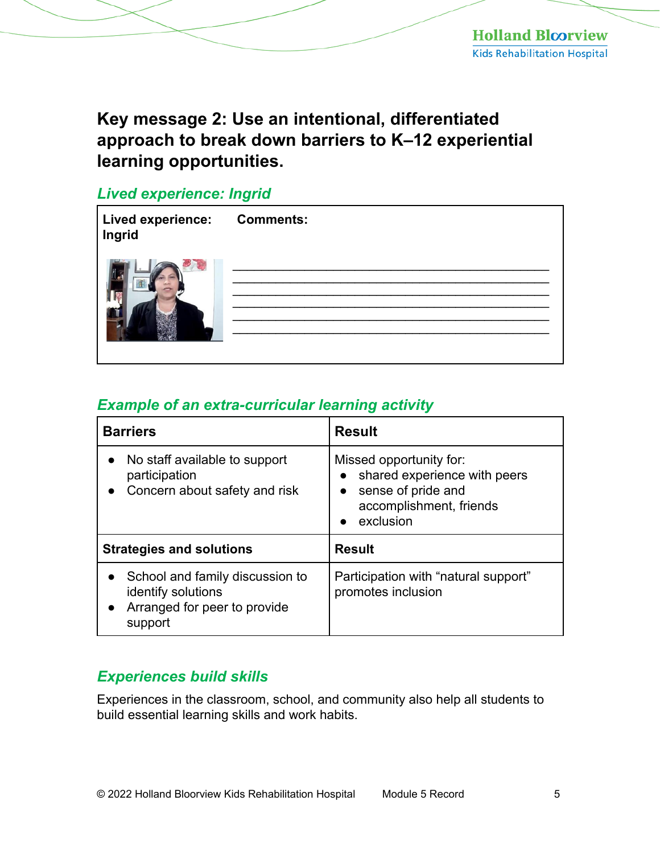# **Key message 2: Use an intentional, differentiated approach to break down barriers to K–12 experiential learning opportunities.**

## *Lived experience: Ingrid*

| Lived experience: Comments:<br>Ingrid |  |
|---------------------------------------|--|
|                                       |  |

## *Example of an extra-curricular learning activity*

| <b>Barriers</b>                                                                                  | <b>Result</b>                                                                                                                                   |
|--------------------------------------------------------------------------------------------------|-------------------------------------------------------------------------------------------------------------------------------------------------|
| No staff available to support<br>participation<br>Concern about safety and risk                  | Missed opportunity for:<br>shared experience with peers<br>$\bullet$<br>sense of pride and<br>$\bullet$<br>accomplishment, friends<br>exclusion |
| <b>Strategies and solutions</b>                                                                  | <b>Result</b>                                                                                                                                   |
| School and family discussion to<br>identify solutions<br>Arranged for peer to provide<br>support | Participation with "natural support"<br>promotes inclusion                                                                                      |

## *Experiences build skills*

Experiences in the classroom, school, and community also help all students to build essential learning skills and work habits.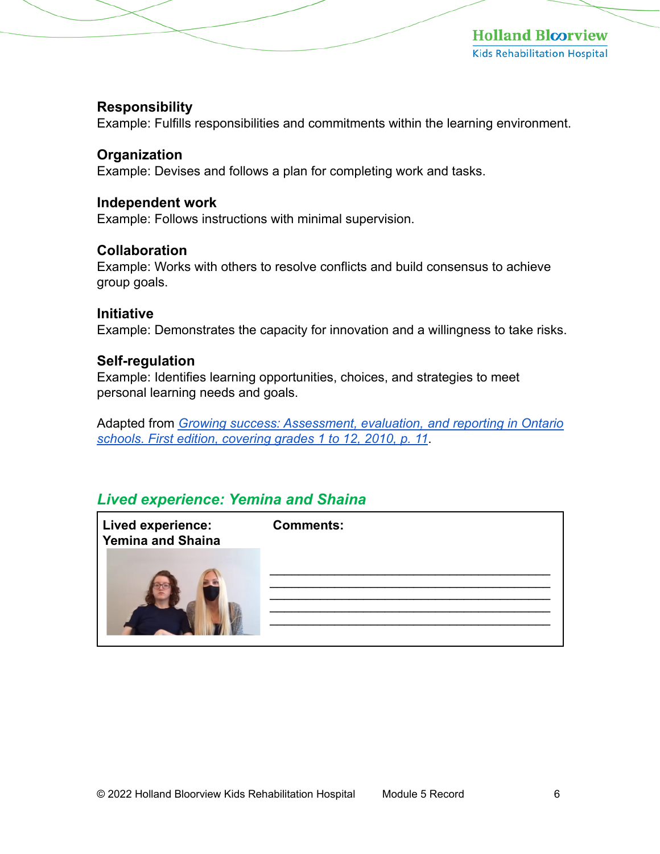#### **Responsibility**

Example: Fulfills responsibilities and commitments within the learning environment.

#### **Organization**

Example: Devises and follows a plan for completing work and tasks.

#### **Independent work**

Example: Follows instructions with minimal supervision.

#### **Collaboration**

Example: Works with others to resolve conflicts and build consensus to achieve group goals.

#### **Initiative**

Example: Demonstrates the capacity for innovation and a willingness to take risks.

#### **Self-regulation**

Example: Identifies learning opportunities, choices, and strategies to meet personal learning needs and goals.

Adapted from *[Growing success: Assessment, evaluation, and reporting in Ontario](http://www.edu.gov.on.ca/eng/policyfunding/growSuccess.pdf)  schools. First edition, covering grades 1 to 12, 2010, p. 11*.

## *Lived experience: Yemina and Shaina*

| <b>Lived experience:</b><br><b>Yemina and Shaina</b> | <b>Comments:</b> |
|------------------------------------------------------|------------------|
|                                                      |                  |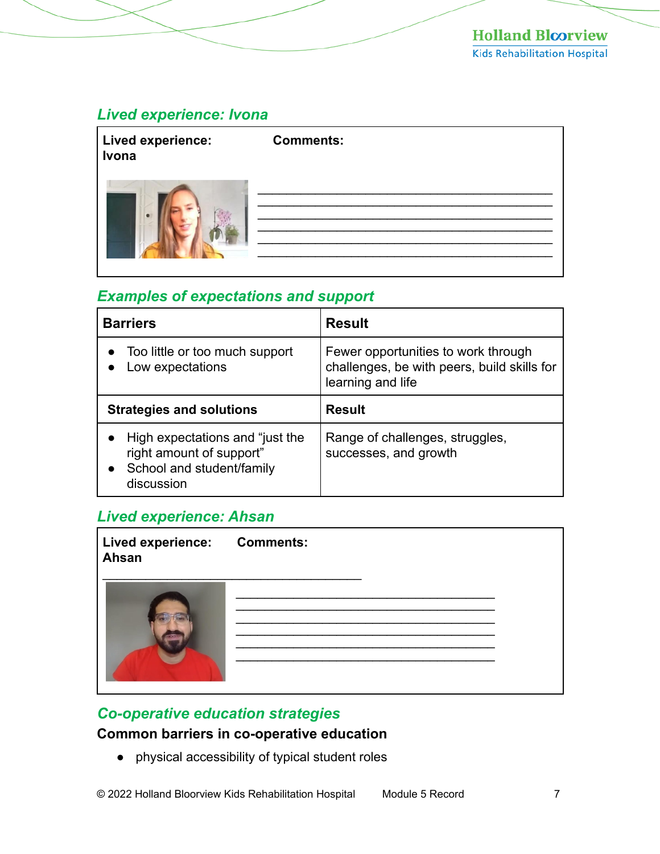# *Lived experience: Ivona*

| Lived experience:<br>Ivona | <b>Comments:</b> |
|----------------------------|------------------|
| $\bullet$                  |                  |

## *Examples of expectations and support*

| <b>Barriers</b>                                                                                        | <b>Result</b>                                                                                           |
|--------------------------------------------------------------------------------------------------------|---------------------------------------------------------------------------------------------------------|
| Too little or too much support<br>Low expectations                                                     | Fewer opportunities to work through<br>challenges, be with peers, build skills for<br>learning and life |
| <b>Strategies and solutions</b>                                                                        | <b>Result</b>                                                                                           |
| High expectations and "just the<br>right amount of support"<br>School and student/family<br>discussion | Range of challenges, struggles,<br>successes, and growth                                                |

#### *Lived experience: Ahsan*

| Lived experience: Comments:<br>Ahsan |  |  |
|--------------------------------------|--|--|
|                                      |  |  |

## *Co-operative education strategies*

### **Common barriers in co-operative education**

● physical accessibility of typical student roles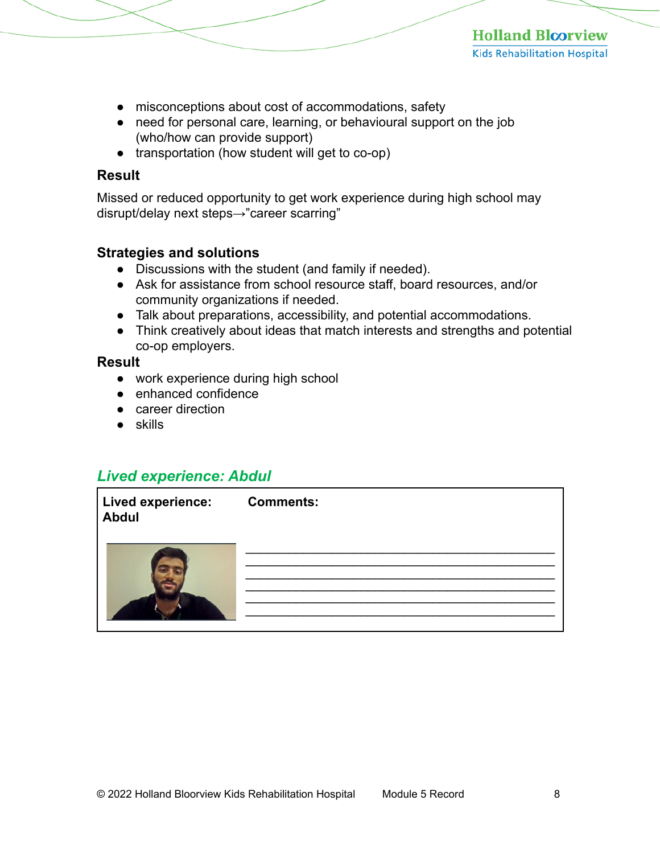- misconceptions about cost of accommodations, safety
- need for personal care, learning, or behavioural support on the job (who/how can provide support)
- transportation (how student will get to co-op)

#### **Result**

Missed or reduced opportunity to get work experience during high school may disrupt/delay next steps→"career scarring"

#### **Strategies and solutions**

- Discussions with the student (and family if needed).
- Ask for assistance from school resource staff, board resources, and/or community organizations if needed.
- Talk about preparations, accessibility, and potential accommodations.
- Think creatively about ideas that match interests and strengths and potential co-op employers.

#### **Result**

- work experience during high school
- enhanced confidence
- career direction
- skills

## *Lived experience: Abdul*

| Lived experience: Comments:<br><b>Abdul</b> |  |
|---------------------------------------------|--|
|                                             |  |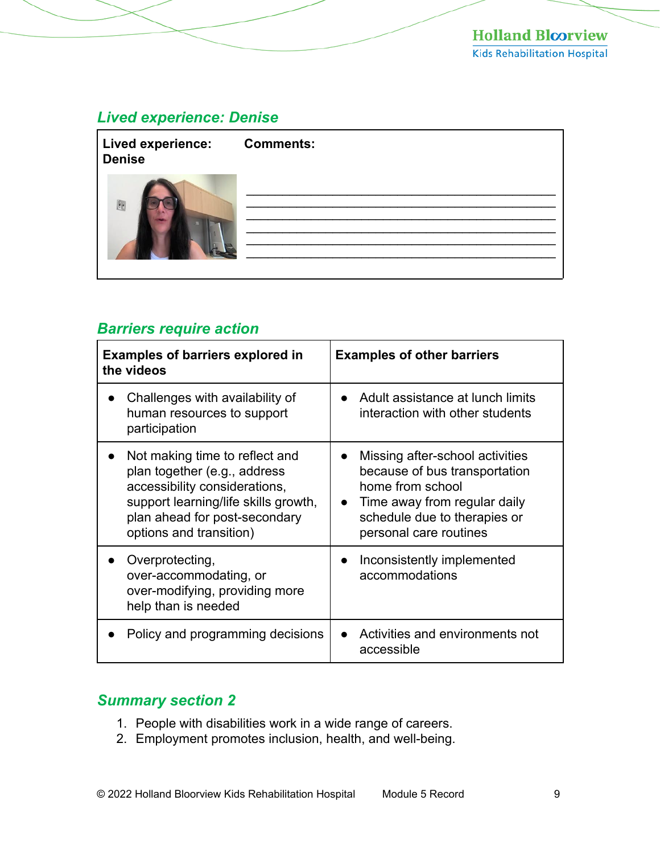### *Lived experience: Denise*

| <b>Lived experience:</b><br><b>Denise</b> | <b>Comments:</b> |
|-------------------------------------------|------------------|
| 图                                         |                  |

## *Barriers require action*

| <b>Examples of barriers explored in</b><br>the videos                                                                                                                                               | <b>Examples of other barriers</b>                                                                                                                                                           |
|-----------------------------------------------------------------------------------------------------------------------------------------------------------------------------------------------------|---------------------------------------------------------------------------------------------------------------------------------------------------------------------------------------------|
| Challenges with availability of<br>human resources to support<br>participation                                                                                                                      | Adult assistance at lunch limits<br>interaction with other students                                                                                                                         |
| Not making time to reflect and<br>plan together (e.g., address<br>accessibility considerations,<br>support learning/life skills growth,<br>plan ahead for post-secondary<br>options and transition) | Missing after-school activities<br>$\bullet$<br>because of bus transportation<br>home from school<br>Time away from regular daily<br>schedule due to therapies or<br>personal care routines |
| Overprotecting,<br>over-accommodating, or<br>over-modifying, providing more<br>help than is needed                                                                                                  | Inconsistently implemented<br>accommodations                                                                                                                                                |
| Policy and programming decisions                                                                                                                                                                    | Activities and environments not<br>accessible                                                                                                                                               |

## *Summary section 2*

- 1. People with disabilities work in a wide range of careers.
- 2. Employment promotes inclusion, health, and well-being.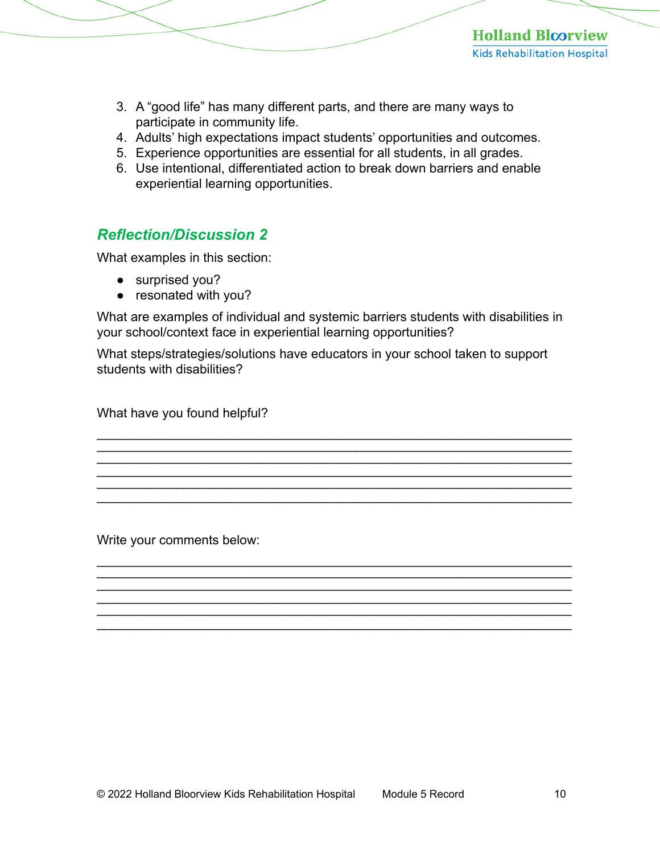- 3. A "good life" has many different parts, and there are many ways to participate in community life.
- 4. Adults' high expectations impact students' opportunities and outcomes.
- 5. Experience opportunities are essential for all students, in all grades.
- 6. Use intentional, differentiated action to break down barriers and enable experiential learning opportunities.

## *Reflection/Discussion 2*

What examples in this section:

- surprised you?
- resonated with you?

What are examples of individual and systemic barriers students with disabilities in your school/context face in experiential learning opportunities?

What steps/strategies/solutions have educators in your school taken to support students with disabilities?

\_\_\_\_\_\_\_\_\_\_\_\_\_\_\_\_\_\_\_\_\_\_\_\_\_\_\_\_\_\_\_\_\_\_\_\_\_\_\_\_\_\_\_\_\_\_\_\_\_\_\_\_\_\_\_\_\_\_\_\_\_\_\_\_\_\_  $\mathcal{L}_\mathcal{L}$  , and the contribution of the contribution of the contribution of the contribution of the contribution of the contribution of the contribution of the contribution of the contribution of the contribution of  $\mathcal{L}_\mathcal{L}$  , and the contribution of the contribution of the contribution of the contribution of the contribution of the contribution of the contribution of the contribution of the contribution of the contribution of

\_\_\_\_\_\_\_\_\_\_\_\_\_\_\_\_\_\_\_\_\_\_\_\_\_\_\_\_\_\_\_\_\_\_\_\_\_\_\_\_\_\_\_\_\_\_\_\_\_\_\_\_\_\_\_\_\_\_\_\_\_\_\_\_\_\_ \_\_\_\_\_\_\_\_\_\_\_\_\_\_\_\_\_\_\_\_\_\_\_\_\_\_\_\_\_\_\_\_\_\_\_\_\_\_\_\_\_\_\_\_\_\_\_\_\_\_\_\_\_\_\_\_\_\_\_\_\_\_\_\_\_\_

\_\_\_\_\_\_\_\_\_\_\_\_\_\_\_\_\_\_\_\_\_\_\_\_\_\_\_\_\_\_\_\_\_\_\_\_\_\_\_\_\_\_\_\_\_\_\_\_\_\_\_\_\_\_\_\_\_\_\_\_\_\_\_\_\_\_

\_\_\_\_\_\_\_\_\_\_\_\_\_\_\_\_\_\_\_\_\_\_\_\_\_\_\_\_\_\_\_\_\_\_\_\_\_\_\_\_\_\_\_\_\_\_\_\_\_\_\_\_\_\_\_\_\_\_\_\_\_\_\_\_\_\_

\_\_\_\_\_\_\_\_\_\_\_\_\_\_\_\_\_\_\_\_\_\_\_\_\_\_\_\_\_\_\_\_\_\_\_\_\_\_\_\_\_\_\_\_\_\_\_\_\_\_\_\_\_\_\_\_\_\_\_\_\_\_\_\_\_\_

\_\_\_\_\_\_\_\_\_\_\_\_\_\_\_\_\_\_\_\_\_\_\_\_\_\_\_\_\_\_\_\_\_\_\_\_\_\_\_\_\_\_\_\_\_\_\_\_\_\_\_\_\_\_\_\_\_\_\_\_\_\_\_\_\_\_  $\mathcal{L}_\mathcal{L} = \mathcal{L}_\mathcal{L} = \mathcal{L}_\mathcal{L} = \mathcal{L}_\mathcal{L} = \mathcal{L}_\mathcal{L} = \mathcal{L}_\mathcal{L} = \mathcal{L}_\mathcal{L} = \mathcal{L}_\mathcal{L} = \mathcal{L}_\mathcal{L} = \mathcal{L}_\mathcal{L} = \mathcal{L}_\mathcal{L} = \mathcal{L}_\mathcal{L} = \mathcal{L}_\mathcal{L} = \mathcal{L}_\mathcal{L} = \mathcal{L}_\mathcal{L} = \mathcal{L}_\mathcal{L} = \mathcal{L}_\mathcal{L}$  $\mathcal{L}_\mathcal{L}$  , and the contribution of the contribution of the contribution of the contribution of the contribution of the contribution of the contribution of the contribution of the contribution of the contribution of \_\_\_\_\_\_\_\_\_\_\_\_\_\_\_\_\_\_\_\_\_\_\_\_\_\_\_\_\_\_\_\_\_\_\_\_\_\_\_\_\_\_\_\_\_\_\_\_\_\_\_\_\_\_\_\_\_\_\_\_\_\_\_\_\_\_

What have you found helpful?

Write your comments below: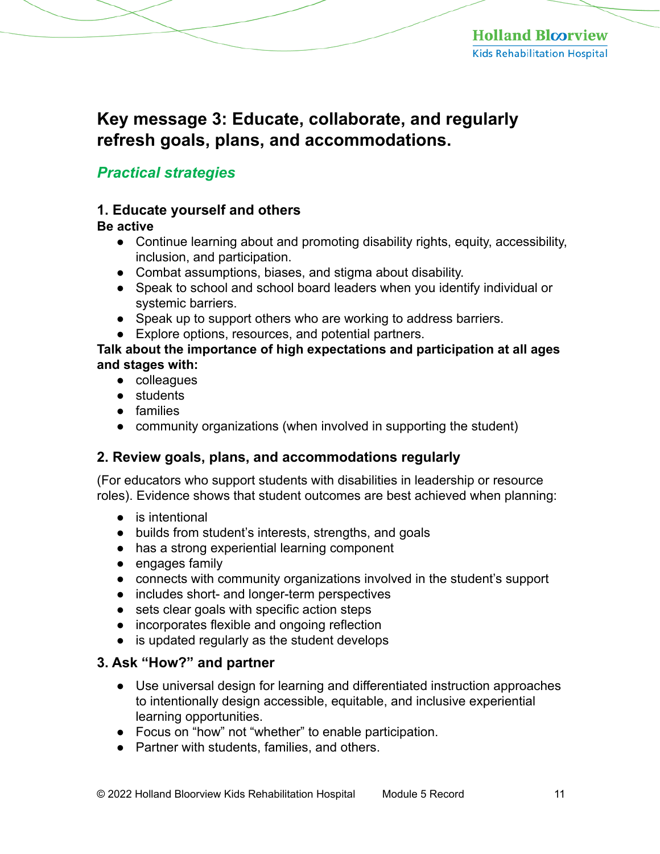# **Key message 3: Educate, collaborate, and regularly refresh goals, plans, and accommodations.**

## *Practical strategies*

### **1. Educate yourself and others**

#### **Be active**

- Continue learning about and promoting disability rights, equity, accessibility, inclusion, and participation.
- Combat assumptions, biases, and stigma about disability.
- Speak to school and school board leaders when you identify individual or systemic barriers.
- Speak up to support others who are working to address barriers.
- Explore options, resources, and potential partners.

#### **Talk about the importance of high expectations and participation at all ages and stages with:**

- colleagues
- students
- families
- community organizations (when involved in supporting the student)

#### **2. Review goals, plans, and accommodations regularly**

(For educators who support students with disabilities in leadership or resource roles). Evidence shows that student outcomes are best achieved when planning:

- is intentional
- builds from student's interests, strengths, and goals
- has a strong experiential learning component
- engages family
- connects with community organizations involved in the student's support
- includes short- and longer-term perspectives
- sets clear goals with specific action steps
- incorporates flexible and ongoing reflection
- is updated regularly as the student develops

#### **3. Ask "How?" and partner**

- Use universal design for learning and differentiated instruction approaches to intentionally design accessible, equitable, and inclusive experiential learning opportunities.
- Focus on "how" not "whether" to enable participation.
- Partner with students, families, and others.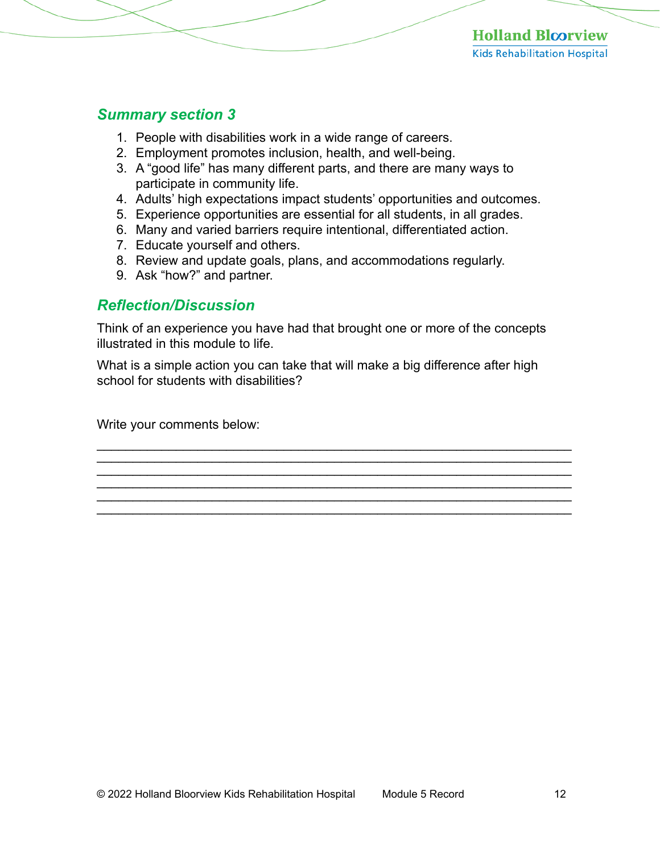#### *Summary section 3*

- 1. People with disabilities work in a wide range of careers.
- 2. Employment promotes inclusion, health, and well-being.
- 3. A "good life" has many different parts, and there are many ways to participate in community life.
- 4. Adults' high expectations impact students' opportunities and outcomes.
- 5. Experience opportunities are essential for all students, in all grades.
- 6. Many and varied barriers require intentional, differentiated action.
- 7. Educate yourself and others.
- 8. Review and update goals, plans, and accommodations regularly.
- 9. Ask "how?" and partner.

#### *Reflection/Discussion*

Think of an experience you have had that brought one or more of the concepts illustrated in this module to life.

What is a simple action you can take that will make a big difference after high school for students with disabilities?

\_\_\_\_\_\_\_\_\_\_\_\_\_\_\_\_\_\_\_\_\_\_\_\_\_\_\_\_\_\_\_\_\_\_\_\_\_\_\_\_\_\_\_\_\_\_\_\_\_\_\_\_\_\_\_\_\_\_\_\_\_\_\_\_\_\_  $\mathcal{L}_\mathcal{L} = \mathcal{L}_\mathcal{L} = \mathcal{L}_\mathcal{L} = \mathcal{L}_\mathcal{L} = \mathcal{L}_\mathcal{L} = \mathcal{L}_\mathcal{L} = \mathcal{L}_\mathcal{L} = \mathcal{L}_\mathcal{L} = \mathcal{L}_\mathcal{L} = \mathcal{L}_\mathcal{L} = \mathcal{L}_\mathcal{L} = \mathcal{L}_\mathcal{L} = \mathcal{L}_\mathcal{L} = \mathcal{L}_\mathcal{L} = \mathcal{L}_\mathcal{L} = \mathcal{L}_\mathcal{L} = \mathcal{L}_\mathcal{L}$  $\mathcal{L}_\mathcal{L}$  , and the contribution of the contribution of the contribution of the contribution of the contribution of the contribution of the contribution of the contribution of the contribution of the contribution of \_\_\_\_\_\_\_\_\_\_\_\_\_\_\_\_\_\_\_\_\_\_\_\_\_\_\_\_\_\_\_\_\_\_\_\_\_\_\_\_\_\_\_\_\_\_\_\_\_\_\_\_\_\_\_\_\_\_\_\_\_\_\_\_\_\_  $\mathcal{L}_\mathcal{L} = \mathcal{L}_\mathcal{L} = \mathcal{L}_\mathcal{L} = \mathcal{L}_\mathcal{L} = \mathcal{L}_\mathcal{L} = \mathcal{L}_\mathcal{L} = \mathcal{L}_\mathcal{L} = \mathcal{L}_\mathcal{L} = \mathcal{L}_\mathcal{L} = \mathcal{L}_\mathcal{L} = \mathcal{L}_\mathcal{L} = \mathcal{L}_\mathcal{L} = \mathcal{L}_\mathcal{L} = \mathcal{L}_\mathcal{L} = \mathcal{L}_\mathcal{L} = \mathcal{L}_\mathcal{L} = \mathcal{L}_\mathcal{L}$ 

\_\_\_\_\_\_\_\_\_\_\_\_\_\_\_\_\_\_\_\_\_\_\_\_\_\_\_\_\_\_\_\_\_\_\_\_\_\_\_\_\_\_\_\_\_\_\_\_\_\_\_\_\_\_\_\_\_\_\_\_\_\_\_\_\_\_

Write your comments below: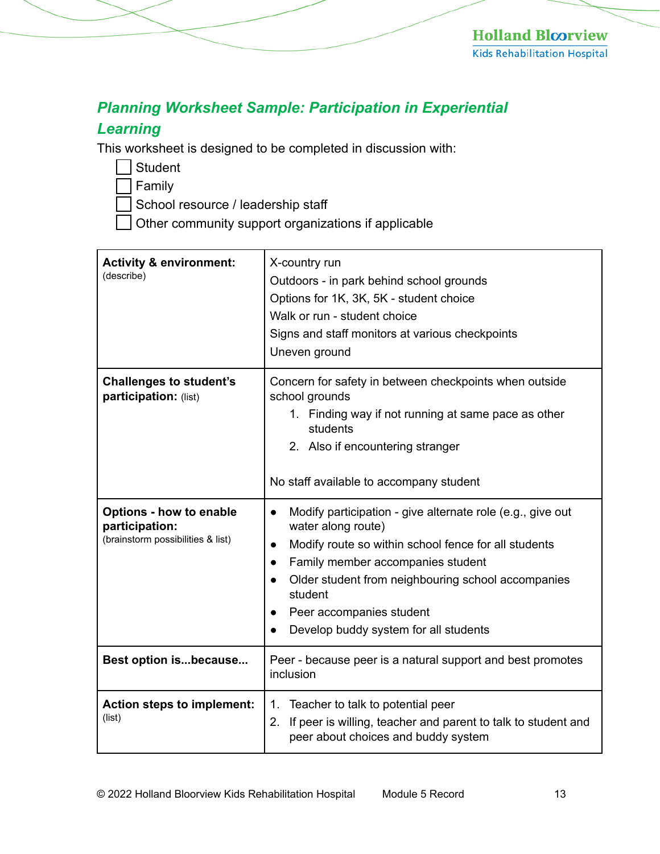## *Planning Worksheet Sample: Participation in Experiential*

## *Learning*

This worksheet is designed to be completed in discussion with:

Student

Family

School resource / leadership staff

Other community support organizations if applicable

| <b>Activity &amp; environment:</b><br>(describe)                                      | X-country run<br>Outdoors - in park behind school grounds<br>Options for 1K, 3K, 5K - student choice<br>Walk or run - student choice<br>Signs and staff monitors at various checkpoints<br>Uneven ground                                                                                                                                                                                          |
|---------------------------------------------------------------------------------------|---------------------------------------------------------------------------------------------------------------------------------------------------------------------------------------------------------------------------------------------------------------------------------------------------------------------------------------------------------------------------------------------------|
| <b>Challenges to student's</b><br>participation: (list)                               | Concern for safety in between checkpoints when outside<br>school grounds<br>1. Finding way if not running at same pace as other<br>students<br>2. Also if encountering stranger<br>No staff available to accompany student                                                                                                                                                                        |
| <b>Options - how to enable</b><br>participation:<br>(brainstorm possibilities & list) | Modify participation - give alternate role (e.g., give out<br>$\bullet$<br>water along route)<br>Modify route so within school fence for all students<br>$\bullet$<br>Family member accompanies student<br>$\bullet$<br>Older student from neighbouring school accompanies<br>$\bullet$<br>student<br>Peer accompanies student<br>$\bullet$<br>Develop buddy system for all students<br>$\bullet$ |
| Best option isbecause                                                                 | Peer - because peer is a natural support and best promotes<br>inclusion                                                                                                                                                                                                                                                                                                                           |
| Action steps to implement:<br>(list)                                                  | Teacher to talk to potential peer<br>1.<br>2. If peer is willing, teacher and parent to talk to student and<br>peer about choices and buddy system                                                                                                                                                                                                                                                |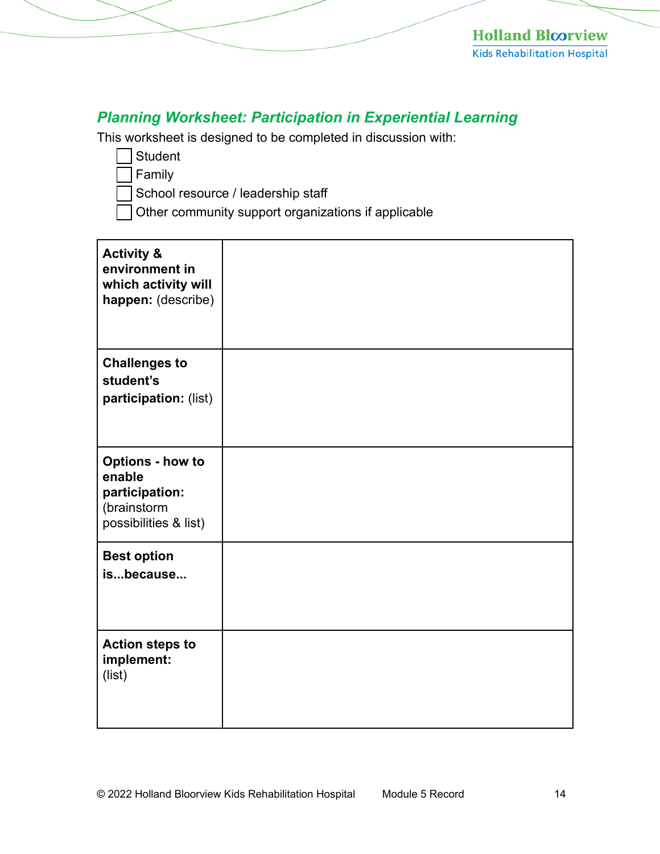# *Planning Worksheet: Participation in Experiential Learning*

This worksheet is designed to be completed in discussion with:

**Student** 

Family

School resource / leadership staff

Other community support organizations if applicable

| <b>Activity &amp;</b><br>environment in<br>which activity will<br>happen: (describe)        |  |
|---------------------------------------------------------------------------------------------|--|
| <b>Challenges to</b><br>student's<br>participation: (list)                                  |  |
| <b>Options - how to</b><br>enable<br>participation:<br>(brainstorm<br>possibilities & list) |  |
| <b>Best option</b><br>isbecause                                                             |  |
| <b>Action steps to</b><br>implement:<br>(list)                                              |  |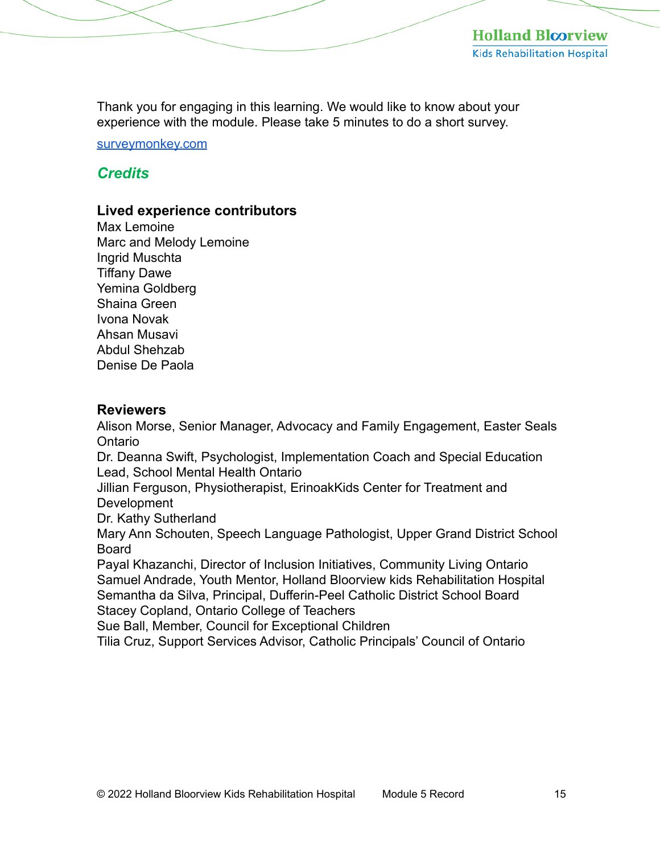Thank you for engaging in this learning. We would like to know about your experience with the module. Please take 5 minutes to do a short survey.

[surveymonkey.com](https://www.surveymonkey.com/r/2JFVHR7)

## *Credits*

#### **Lived experience contributors**

Max Lemoine Marc and Melody Lemoine Ingrid Muschta Tiffany Dawe Yemina Goldberg Shaina Green Ivona Novak Ahsan Musavi Abdul Shehzab Denise De Paola

#### **Reviewers**

Alison Morse, Senior Manager, Advocacy and Family Engagement, Easter Seals Ontario Dr. Deanna Swift, Psychologist, Implementation Coach and Special Education Lead, School Mental Health Ontario Jillian Ferguson, Physiotherapist, ErinoakKids Center for Treatment and **Development** Dr. Kathy Sutherland Mary Ann Schouten, Speech Language Pathologist, Upper Grand District School Board Payal Khazanchi, Director of Inclusion Initiatives, Community Living Ontario Samuel Andrade, Youth Mentor, Holland Bloorview kids Rehabilitation Hospital Semantha da Silva, Principal, Dufferin-Peel Catholic District School Board Stacey Copland, Ontario College of Teachers Sue Ball, Member, Council for Exceptional Children

Tilia Cruz, Support Services Advisor, Catholic Principals' Council of Ontario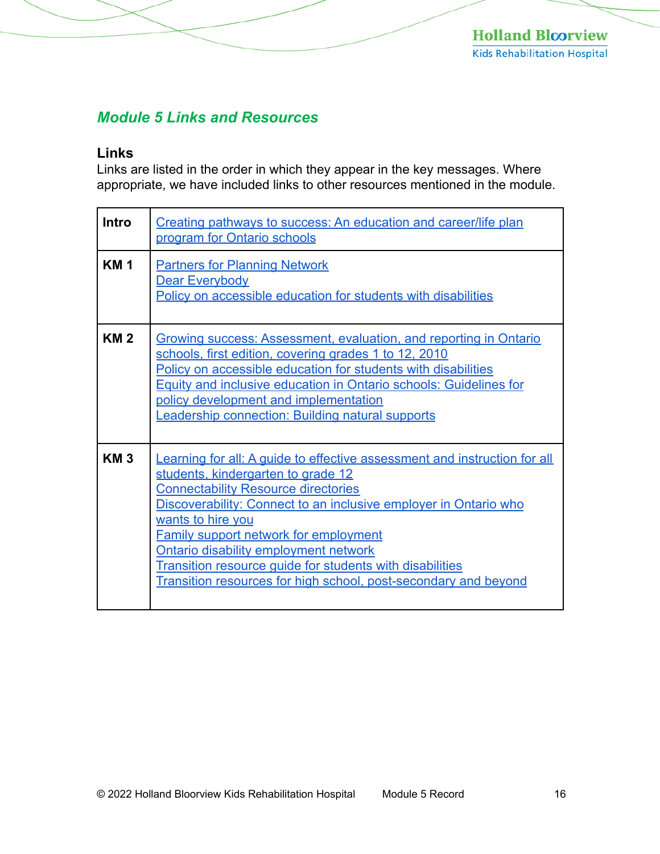## *Module 5 Links and Resources*

#### **Links**

Links are listed in the order in which they appear in the key messages. Where appropriate, we have included links to other resources mentioned in the module.

| <b>Intro</b> | Creating pathways to success: An education and career/life plan<br>program for Ontario schools                                                                                                                                                                                                                                                                                                                                                                                                             |
|--------------|------------------------------------------------------------------------------------------------------------------------------------------------------------------------------------------------------------------------------------------------------------------------------------------------------------------------------------------------------------------------------------------------------------------------------------------------------------------------------------------------------------|
| <b>KM1</b>   | <b>Partners for Planning Network</b><br>Dear Everybody<br>Policy on accessible education for students with disabilities                                                                                                                                                                                                                                                                                                                                                                                    |
| <b>KM2</b>   | Growing success: Assessment, evaluation, and reporting in Ontario<br>schools, first edition, covering grades 1 to 12, 2010<br>Policy on accessible education for students with disabilities<br><b>Equity and inclusive education in Ontario schools: Guidelines for</b><br>policy development and implementation<br>Leadership connection: Building natural supports                                                                                                                                       |
| <b>KM3</b>   | <b>Learning for all: A quide to effective assessment and instruction for all</b><br>students, kindergarten to grade 12<br><b>Connectability Resource directories</b><br>Discoverability: Connect to an inclusive employer in Ontario who<br>wants to hire you<br><b>Family support network for employment</b><br><b>Ontario disability employment network</b><br><b>Transition resource quide for students with disabilities</b><br><b>Transition resources for high school, post-secondary and beyond</b> |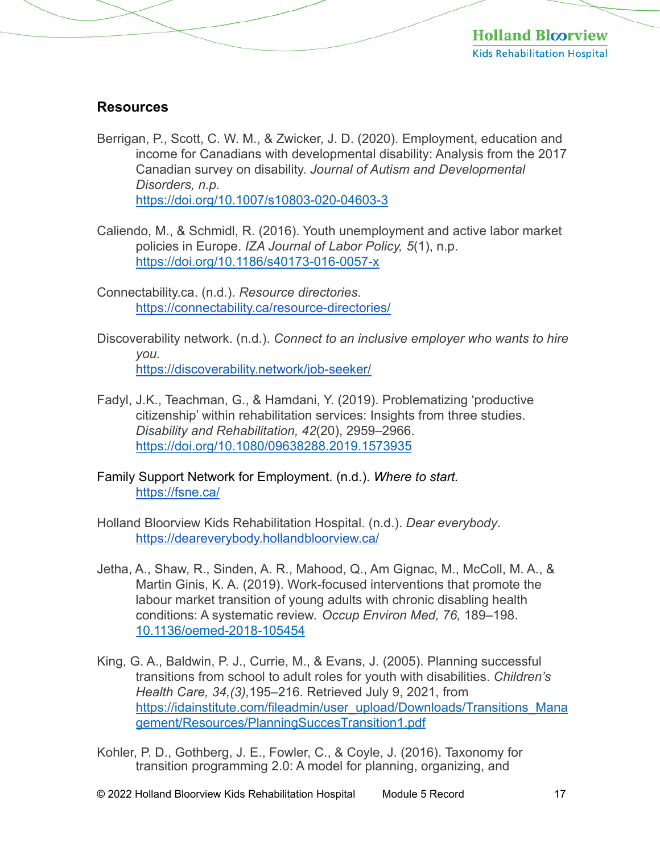#### **Resources**

- Berrigan, P., Scott, C. W. M., & Zwicker, J. D. (2020). Employment, education and income for Canadians with developmental disability: Analysis from the 2017 Canadian survey on disability. *Journal of Autism and Developmental Disorders, n.p.*  <https://doi.org/10.1007/s10803-020-04603-3>
- Caliendo, M., & Schmidl, R. (2016). Youth unemployment and active labor market policies in Europe. *IZA Journal of Labor Policy, 5*(1), n.p. <https://doi.org/10.1186/s40173-016-0057-x>
- Connectability.ca. (n.d.). *Resource directories.*  <https://connectability.ca/resource-directories/>
- Discoverability network. (n.d.). *Connect to an inclusive employer who wants to hire you.*  <https://discoverability.network/job-seeker/>
- Fadyl, J.K., Teachman, G., & Hamdani, Y. (2019). Problematizing 'productive citizenship' within rehabilitation services: Insights from three studies. *Disability and Rehabilitation, 42*(20), 2959–2966. <https://doi.org/10.1080/09638288.2019.1573935>
- Family Support Network for Employment. (n.d.). *Where to start.*  <https://fsne.ca/>
- Holland Bloorview Kids Rehabilitation Hospital. (n.d.). *Dear everybody*. <https://deareverybody.hollandbloorview.ca/>
- Jetha, A., Shaw, R., Sinden, A. R., Mahood, Q., Am Gignac, M., McColl, M. A., & Martin Ginis, K. A. (2019). Work-focused interventions that promote the labour market transition of young adults with chronic disabling health conditions: A systematic review. *Occup Environ Med, 76,* 189–198. [10.1136/oemed-2018-105454](https://doi.org/10.1136/oemed-2018-105454)
- King, G. A., Baldwin, P. J., Currie, M., & Evans, J. (2005). Planning successful transitions from school to adult roles for youth with disabilities. *Children's Health Care, 34,(3),*195–216. Retrieved July 9, 2021, from [https://idainstitute.com/fileadmin/user\\_upload/Downloads/Transitions\\_Mana](https://idainstitute.com/fileadmin/user_upload/Downloads/Transitions_Management/Resources/PlanningSuccesTransition1.pdf) gement/Resources/PlanningSuccesTransition1.pdf
- Kohler, P. D., Gothberg, J. E., Fowler, C., & Coyle, J. (2016). Taxonomy for transition programming 2.0: A model for planning, organizing, and

© 2022 Holland Bloorview Kids Rehabilitation Hospital Module 5 Record 17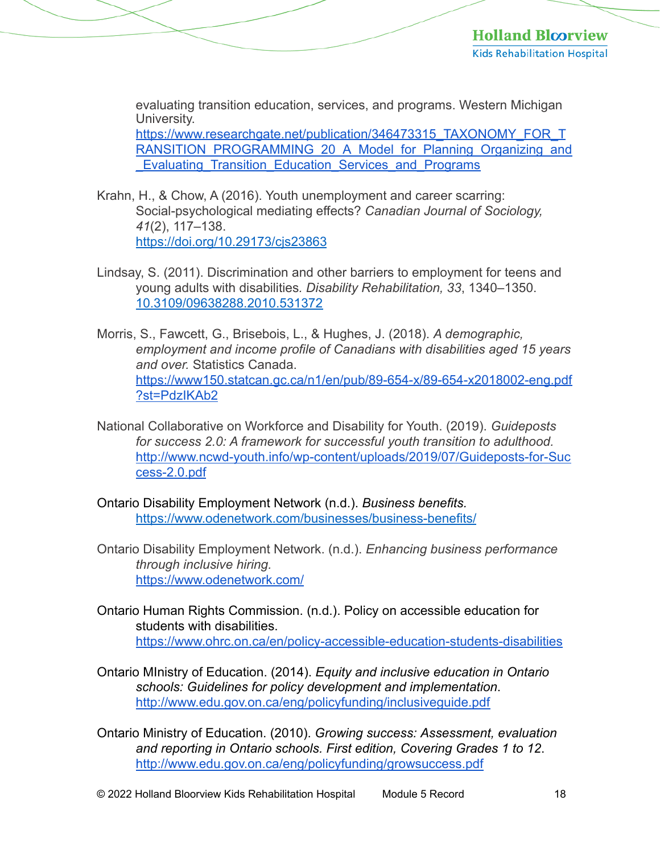evaluating transition education, services, and programs. Western Michigan University. https://www.researchgate.net/publication/346473315\_TAXONOMY\_FOR\_T [RANSITION\\_PROGRAMMING\\_20\\_A\\_Model\\_for\\_Planning\\_Organizing\\_and](https://www.researchgate.net/publication/346473315_TAXONOMY_FOR_TRANSITION_PROGRAMMING_20_A_Model_for_Planning_Organizing_and_Evaluating_Transition_Education_Services_and_Programs) Evaluating Transition Education Services and Programs

- Krahn, H., & Chow, A (2016). Youth unemployment and career scarring: Social-psychological mediating effects? *Canadian Journal of Sociology, 41*(2), 117–138. <https://doi.org/10.29173/cjs23863>
- Lindsay, S. (2011). Discrimination and other barriers to employment for teens and young adults with disabilities*. Disability Rehabilitation, 33*, 1340–1350. [10.3109/09638288.2010.531372](https://doi.org/10.3109/09638288.2010.531372)
- Morris, S., Fawcett, G., Brisebois, L., & Hughes, J. (2018). *A demographic, employment and income profile of Canadians with disabilities aged 15 years and over.* Statistics Canada. [https://www150.statcan.gc.ca/n1/en/pub/89-654-x/89-654-x2018002-eng.pdf](https://www150.statcan.gc.ca/n1/en/pub/89-654-x/89-654-x2018002-eng.pdf?st=PdzIKAb2) ?st=PdzIKAb2
- National Collaborative on Workforce and Disability for Youth. (2019). *Guideposts for success 2.0: A framework for successful youth transition to adulthood.*  [http://www.ncwd-youth.info/wp-content/uploads/2019/07/Guideposts-for-Suc](http://www.ncwd-youth.info/wp-content/uploads/2019/07/Guideposts-for-Success-2.0.pdf) cess-2.0.pdf
- Ontario Disability Employment Network (n.d.). *Business benefits.*  <https://www.odenetwork.com/businesses/business-benefits/>
- Ontario Disability Employment Network. (n.d.). *Enhancing business performance through inclusive hiring.*  <https://www.odenetwork.com/>
- Ontario Human Rights Commission. (n.d.). Policy on accessible education for students with disabilities. <https://www.ohrc.on.ca/en/policy-accessible-education-students-disabilities>
- Ontario MInistry of Education. (2014). *Equity and inclusive education in Ontario schools: Guidelines for policy development and implementation*. <http://www.edu.gov.on.ca/eng/policyfunding/inclusiveguide.pdf>
- Ontario Ministry of Education. (2010). *Growing success: Assessment, evaluation and reporting in Ontario schools. First edition, Covering Grades 1 to 12*. <http://www.edu.gov.on.ca/eng/policyfunding/growsuccess.pdf>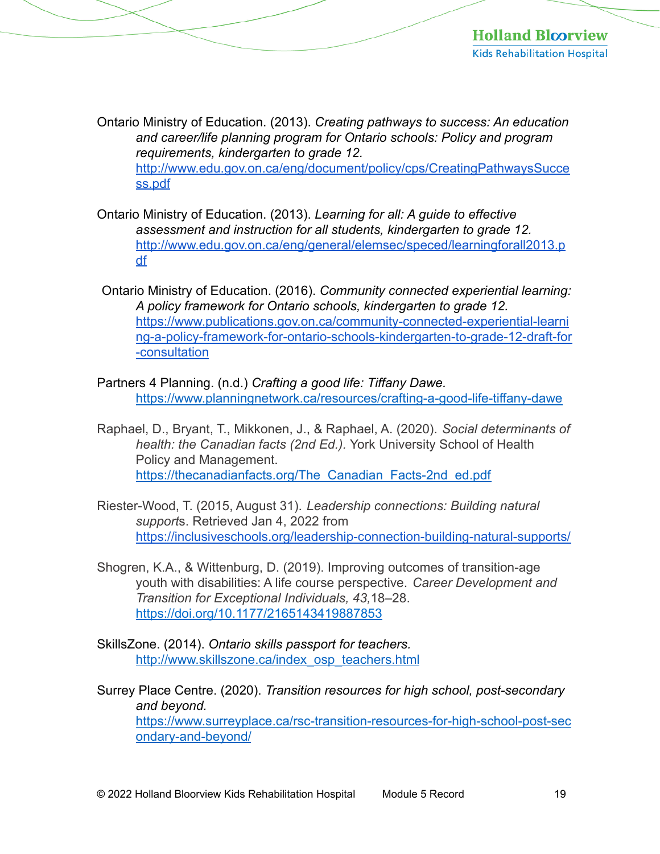Ontario Ministry of Education. (2013). *Creating pathways to success: An education and career/life planning program for Ontario schools: Policy and program requirements, kindergarten to grade 12.*  [http://www.edu.gov.on.ca/eng/document/policy/cps/CreatingPathwaysSucce](http://www.edu.gov.on.ca/eng/document/policy/cps/CreatingPathwaysSuccess.pdf) ss.pdf

- Ontario Ministry of Education. (2013). *Learning for all: A guide to effective assessment and instruction for all students, kindergarten to grade 12.*  [http://www.edu.gov.on.ca/eng/general/elemsec/speced/learningforall2013.p](http://www.edu.gov.on.ca/eng/general/elemsec/speced/learningforall2013.pdf) df
- Ontario Ministry of Education. (2016). *Community connected experiential learning: A policy framework for Ontario schools, kindergarten to grade 12.*  https://www.publications.gov.on.ca/community-connected-experiential-learni [ng-a-policy-framework-for-ontario-schools-kindergarten-to-grade-12-draft-for](https://www.publications.gov.on.ca/community-connected-experiential-learning-a-policy-framework-for-ontario-schools-kindergarten-to-grade-12-draft-for-consultation) -consultation
- Partners 4 Planning. (n.d.) *Crafting a good life: Tiffany Dawe.*  <https://www.planningnetwork.ca/resources/crafting-a-good-life-tiffany-dawe>
- Raphael, D., Bryant, T., Mikkonen, J., & Raphael, A. (2020). *Social determinants of health: the Canadian facts (2nd Ed.).* York University School of Health Policy and Management. https://thecanadianfacts.org/The\_Canadian\_Facts-2nd\_ed.pdf
- Riester-Wood, T. (2015, August 31). *Leadership connections: Building natural support*s. Retrieved Jan 4, 2022 from <https://inclusiveschools.org/leadership-connection-building-natural-supports/>
- Shogren, K.A., & Wittenburg, D. (2019). Improving outcomes of transition-age youth with disabilities: A life course perspective. *Career Development and Transition for Exceptional Individuals, 43,*18–28. [https://doi.org/10.1177/2165143419887853](https://doi.org/10.1177%2F2165143419887853)
- SkillsZone. (2014). *Ontario skills passport for teachers.*  [http://www.skillszone.ca/index\\_osp\\_teachers.html](http://www.skillszone.ca/index_osp_teachers.html)
- Surrey Place Centre. (2020). *Transition resources for high school, post-secondary and beyond.*  [https://www.surreyplace.ca/rsc-transition-resources-for-high-school-post-sec](https://www.surreyplace.ca/rsc-transition-resources-for-high-school-post-secondary-and-beyond/) ondary-and-beyond/